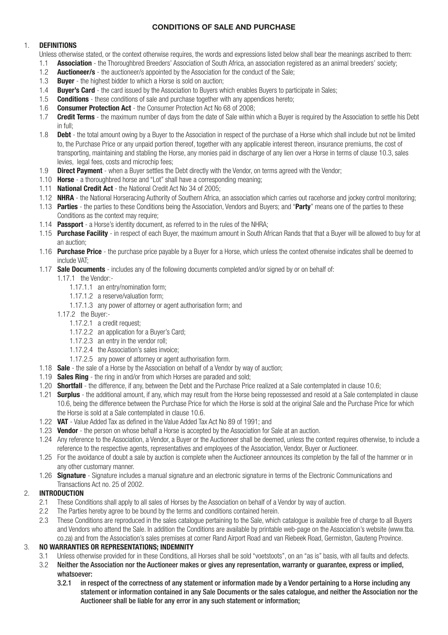# **CONDITIONS OF SALE AND PURCHASE**

## 1. **DEFINITIONS**

Unless otherwise stated, or the context otherwise requires, the words and expressions listed below shall bear the meanings ascribed to them:

- 1.1 **Association** the Thoroughbred Breeders' Association of South Africa, an association registered as an animal breeders' society;
- 1.2 **Auctioneer/s** the auctioneer/s appointed by the Association for the conduct of the Sale;
- 1.3 **Buyer** the highest bidder to which a Horse is sold on auction;
- 1.4 **Buyer's Card** the card issued by the Association to Buyers which enables Buyers to participate in Sales;
- 1.5 **Conditions** these conditions of sale and purchase together with any appendices hereto;
- 1.6 **Consumer Protection Act**  the Consumer Protection Act No 68 of 2008;
- 1.7 **Credit Terms** the maximum number of days from the date of Sale within which a Buyer is required by the Association to settle his Debt in full;
- 1.8 **Debt** the total amount owing by a Buyer to the Association in respect of the purchase of a Horse which shall include but not be limited to, the Purchase Price or any unpaid portion thereof, together with any applicable interest thereon, insurance premiums, the cost of transporting, maintaining and stabling the Horse, any monies paid in discharge of any lien over a Horse in terms of clause 10.3, sales levies, legal fees, costs and microchip fees;
- 1.9 **Direct Payment** when a Buyer settles the Debt directly with the Vendor, on terms agreed with the Vendor;
- 1.10 **Horse** a thoroughbred horse and "Lot" shall have a corresponding meaning;
- 1.11 **National Credit Act** the National Credit Act No 34 of 2005;
- 1.12 **NHRA** the National Horseracing Authority of Southern Africa, an association which carries out racehorse and jockey control monitoring;
- 1.13 **Parties** the parties to these Conditions being the Association, Vendors and Buyers; and "**Party**" means one of the parties to these Conditions as the context may require:
- 1.14 **Passport** a Horse's identity document, as referred to in the rules of the NHRA;
- 1.15 **Purchase Facility** in respect of each Buyer, the maximum amount in South African Rands that that a Buyer will be allowed to buy for at an auction;
- 1.16 **Purchase Price** the purchase price payable by a Buyer for a Horse, which unless the context otherwise indicates shall be deemed to include VAT;
- 1.17 **Sale Documents** includes any of the following documents completed and/or signed by or on behalf of:
	- 1.17.1 the Vendor:-
		- 1.17.1.1 an entry/nomination form;
		- 1.17.1.2 a reserve/valuation form;
		- 1.17.1.3 any power of attorney or agent authorisation form; and
	- 1.17.2 the Buyer:-
		- 1.17.2.1 a credit request;
		- 1.17.2.2 an application for a Buyer's Card;
		- 1.17.2.3 an entry in the vendor roll;
		- 1.17.2.4 the Association's sales invoice;
		- 1.17.2.5 any power of attorney or agent authorisation form.
- 1.18 **Sale** the sale of a Horse by the Association on behalf of a Vendor by way of auction;
- 1.19 **Sales Ring** the ring in and/or from which Horses are paraded and sold;
- 1.20 **Shortfall** the difference, if any, between the Debt and the Purchase Price realized at a Sale contemplated in clause 10.6;
- 1.21 **Surplus** the additional amount, if any, which may result from the Horse being repossessed and resold at a Sale contemplated in clause 10.6, being the difference between the Purchase Price for which the Horse is sold at the original Sale and the Purchase Price for which the Horse is sold at a Sale contemplated in clause 10.6.
- 1.22 **VAT** Value Added Tax as defined in the Value Added Tax Act No 89 of 1991; and
- 1.23 **Vendor** the person on whose behalf a Horse is accepted by the Association for Sale at an auction.
- 1.24 Any reference to the Association, a Vendor, a Buyer or the Auctioneer shall be deemed, unless the context requires otherwise, to include a reference to the respective agents, representatives and employees of the Association, Vendor, Buyer or Auctioneer.
- 1.25 For the avoidance of doubt a sale by auction is complete when the Auctioneer announces its completion by the fall of the hammer or in any other customary manner.
- 1.26 **Signature** Signature includes a manual signature and an electronic signature in terms of the Electronic Communications and Transactions Act no. 25 of 2002.

### 2. **INTRODUCTION**

- 2.1 These Conditions shall apply to all sales of Horses by the Association on behalf of a Vendor by way of auction.
- 2.2 The Parties hereby agree to be bound by the terms and conditions contained herein.
- 2.3 These Conditions are reproduced in the sales catalogue pertaining to the Sale, which catalogue is available free of charge to all Buyers and Vendors who attend the Sale. In addition the Conditions are available by printable web-page on the Association's website (www.tba. co.za) and from the Association's sales premises at corner Rand Airport Road and van Riebeek Road, Germiston, Gauteng Province.

## 3. **NO WARRANTIES OR REPRESENTATIONS; INDEMNITY**

- 3.1 Unless otherwise provided for in these Conditions, all Horses shall be sold "voetstoots", on an "as is" basis, with all faults and defects.
- 3.2 Neither the Association nor the Auctioneer makes or gives any representation, warranty or guarantee, express or implied, whatsoever:
	- 3.2.1 in respect of the correctness of any statement or information made by a Vendor pertaining to a Horse including any statement or information contained in any Sale Documents or the sales catalogue, and neither the Association nor the Auctioneer shall be liable for any error in any such statement or information;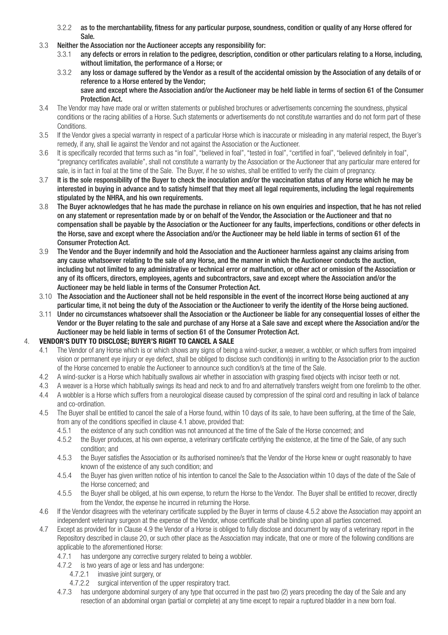- 3.2.2 as to the merchantability, fitness for any particular purpose, soundness, condition or quality of any Horse offered for
- Sale.<br>3.3 Neither the A 3.3 Neither the Association nor the Auctioneer accepts any responsibility for:
	- 3.3.1 any defects or errors in relation to the pedigree, description, condition or other particulars relating to a Horse, including, without limitation, the performance of a Horse; or
	- 3.3.2 any loss or damage suffered by the Vendor as a result of the accidental omission by the Association of any details of or reference to a Horse entered by the Vendor; save and except where the Association and/or the Auctioneer may be held liable in terms of section 61 of the Consumer Protection Act.
- 3.4 The Vendor may have made oral or written statements or published brochures or advertisements concerning the soundness, physical conditions or the racing abilities of a Horse. Such statements or advertisements do not constitute warranties and do not form part of these Conditions.<br>3.5 If the Vendo
- 3.5 If the Vendor gives a special warranty in respect of a particular Horse which is inaccurate or misleading in any material respect, the Buyer's remedy, if any, shall lie against the Vendor and not against the Association or the Auctioneer.
- 3.6 It is specifically recorded that terms such as "in foal", "believed in foal", "tested in foal", "certified in foal", "believed definitely in foal", "pregnancy certificates available", shall not constitute a warranty by the Association or the Auctioneer that any particular mare entered for sale, is in fact in foal at the time of the Sale. The Buyer, if he so wishes, shall be entitled to verify the claim of pregnancy.<br>3.7 It is the sole responsibility of the Buyer to check the inoculation and/or the vaccinati
- It is the sole responsibility of the Buyer to check the inoculation and/or the vaccination status of any Horse which he may be interested in buying in advance and to satisfy himself that they meet all legal requirements, including the legal requirements stipulated by the NHRA, and his own requirements.
- 3.8 The Buyer acknowledges that he has made the purchase in reliance on his own enquiries and inspection, that he has not relied on any statement or representation made by or on behalf of the Vendor, the Association or the Auctioneer and that no compensation shall be payable by the Association or the Auctioneer for any faults, imperfections, conditions or other defects in the Horse, save and except where the Association and/or the Auctioneer may be held liable in terms of section 61 of the Consumer Protection Act.
- 3.9 The Vendor and the Buyer indemnify and hold the Association and the Auctioneer harmless against any claims arising from any cause whatsoever relating to the sale of any Horse, and the manner in which the Auctioneer conducts the auction, including but not limited to any administrative or technical error or malfunction, or other act or omission of the Association or any of its officers, directors, employees, agents and subcontractors, save and except where the Association and/or the Auctioneer may be held liable in terms of the Consumer Protection Act.
- 3.10 The Association and the Auctioneer shall not be held responsible in the event of the incorrect Horse being auctioned at any particular time, it not being the duty of the Association or the Auctioneer to verify the identity of the Horse being auctioned.
- 3.11 Under no circumstances whatsoever shall the Association or the Auctioneer be liable for any consequential losses of either the Vendor or the Buyer relating to the sale and purchase of any Horse at a Sale save and except where the Association and/or the Auctioneer may be held liable in terms of section 61 of the Consumer Protection Act.

### 4. **VENDOR'S DUTY TO DISCLOSE; BUYER'S RIGHT TO CANCEL A SALE**

- 4.1 The Vendor of any Horse which is or which shows any signs of being a wind-sucker, a weaver, a wobbler, or which suffers from impaired vision or permanent eye injury or eye defect, shall be obliged to disclose such condition(s) in writing to the Association prior to the auction of the Horse concerned to enable the Auctioneer to announce such condition/s at the time of the Sale.
- 4.2 A wind-sucker is a Horse which habitually swallows air whether in association with grasping fixed objects with incisor teeth or not.
- 4.3 A weaver is a Horse which habitually swings its head and neck to and fro and alternatively transfers weight from one forelimb to the other.
- 4.4 A wobbler is a Horse which suffers from a neurological disease caused by compression of the spinal cord and resulting in lack of balance and co-ordination.
- 4.5 The Buyer shall be entitled to cancel the sale of a Horse found, within 10 days of its sale, to have been suffering, at the time of the Sale, from any of the conditions specified in clause 4.1 above, provided that:
	- 4.5.1 the existence of any such condition was not announced at the time of the Sale of the Horse concerned; and
	- 4.5.2 the Buyer produces, at his own expense, a veterinary certificate certifying the existence, at the time of the Sale, of any such condition; and
	- 4.5.3 the Buyer satisfies the Association or its authorised nominee/s that the Vendor of the Horse knew or ought reasonably to have known of the existence of any such condition; and
	- 4.5.4 the Buyer has given written notice of his intention to cancel the Sale to the Association within 10 days of the date of the Sale of the Horse concerned; and
	- 4.5.5 the Buyer shall be obliged, at his own expense, to return the Horse to the Vendor. The Buyer shall be entitled to recover, directly from the Vendor, the expense he incurred in returning the Horse.
- 4.6 If the Vendor disagrees with the veterinary certificate supplied by the Buyer in terms of clause 4.5.2 above the Association may appoint an independent veterinary surgeon at the expense of the Vendor, whose certificate shall be binding upon all parties concerned.
- 4.7 Except as provided for in Clause 4.9 the Vendor of a Horse is obliged to fully disclose and document by way of a veterinary report in the Repository described in clause 20, or such other place as the Association may indicate, that one or more of the following conditions are applicable to the aforementioned Horse:
	- 4.7.1 has undergone any corrective surgery related to being a wobbler.
	- 4.7.2 is two years of age or less and has undergone:
		- 4.7.2.1 invasive joint surgery, or
		- 4.7.2.2 surgical intervention of the upper respiratory tract.
	- 4.7.3 has undergone abdominal surgery of any type that occurred in the past two (2) years preceding the day of the Sale and any resection of an abdominal organ (partial or complete) at any time except to repair a ruptured bladder in a new born foal.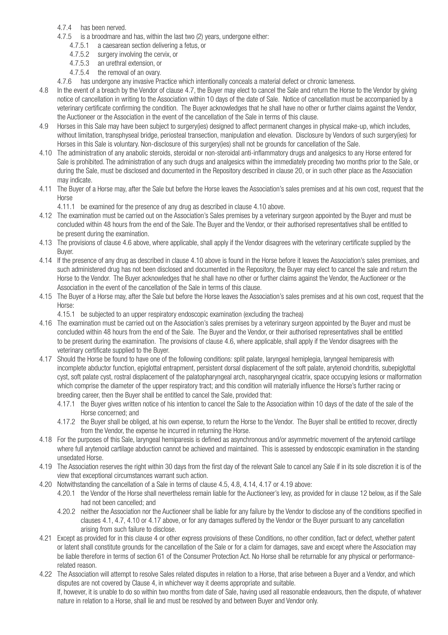- 4.7.4 has been nerved.
- 4.7.5 is a broodmare and has, within the last two (2) years, undergone either:
	- 4.7.5.1 a caesarean section delivering a fetus, or
	- 4.7.5.2 surgery involving the cervix, or
	- 4.7.5.3 an urethral extension, or
	- 4.7.5.4 the removal of an ovary.
- 4.7.6 has undergone any invasive Practice which intentionally conceals a material defect or chronic lameness.
- 4.8 In the event of a breach by the Vendor of clause 4.7, the Buyer may elect to cancel the Sale and return the Horse to the Vendor by giving notice of cancellation in writing to the Association within 10 days of the date of Sale. Notice of cancellation must be accompanied by a veterinary certificate confirming the condition. The Buyer acknowledges that he shall have no other or further claims against the Vendor, the Auctioneer or the Association in the event of the cancellation of the Sale in terms of this clause.
- 4.9 Horses in this Sale may have been subject to surgery(ies) designed to affect permanent changes in physical make-up, which includes, without limitation, transphyseal bridge, periosteal transection, manipulation and elevation. Disclosure by Vendors of such surgery(ies) for Horses in this Sale is voluntary. Non-disclosure of this surgery(ies) shall not be grounds for cancellation of the Sale.
- 4.10 The administration of any anabolic steroids, steroidal or non-steroidal anti-inflammatory drugs and analgesics to any Horse entered for Sale is prohibited. The administration of any such drugs and analgesics within the immediately preceding two months prior to the Sale, or during the Sale, must be disclosed and documented in the Repository described in clause 20, or in such other place as the Association may indicate.
- 4.11 The Buyer of a Horse may, after the Sale but before the Horse leaves the Association's sales premises and at his own cost, request that the Horse

4.11.1 be examined for the presence of any drug as described in clause 4.10 above.

- 4.12 The examination must be carried out on the Association's Sales premises by a veterinary surgeon appointed by the Buyer and must be concluded within 48 hours from the end of the Sale. The Buyer and the Vendor, or their authorised representatives shall be entitled to be present during the examination.
- 4.13 The provisions of clause 4.6 above, where applicable, shall apply if the Vendor disagrees with the veterinary certificate supplied by the Buyer.
- 4.14 If the presence of any drug as described in clause 4.10 above is found in the Horse before it leaves the Association's sales premises, and such administered drug has not been disclosed and documented in the Repository, the Buyer may elect to cancel the sale and return the Horse to the Vendor. The Buyer acknowledges that he shall have no other or further claims against the Vendor, the Auctioneer or the Association in the event of the cancellation of the Sale in terms of this clause.
- 4.15 The Buyer of a Horse may, after the Sale but before the Horse leaves the Association's sales premises and at his own cost, request that the Horse:

4.15.1 be subjected to an upper respiratory endoscopic examination (excluding the trachea)

- 4.16 The examination must be carried out on the Association's sales premises by a veterinary surgeon appointed by the Buyer and must be concluded within 48 hours from the end of the Sale. The Buyer and the Vendor, or their authorised representatives shall be entitled to be present during the examination. The provisions of clause 4.6, where applicable, shall apply if the Vendor disagrees with the veterinary certificate supplied to the Buyer.
- 4.17 Should the Horse be found to have one of the following conditions: split palate, laryngeal hemiplegia, laryngeal hemiparesis with incomplete abductor function, epiglottal entrapment, persistent dorsal displacement of the soft palate, arytenoid chondritis, subepiglottal cyst, soft palate cyst, rostral displacement of the palatopharyngeal arch, nasopharyngeal cicatrix, space occupying lesions or malformation which comprise the diameter of the upper respiratory tract; and this condition will materially influence the Horse's further racing or breeding career, then the Buyer shall be entitled to cancel the Sale, provided that:
	- 4.17.1 the Buyer gives written notice of his intention to cancel the Sale to the Association within 10 days of the date of the sale of the Horse concerned; and
	- 4.17.2 the Buyer shall be obliged, at his own expense, to return the Horse to the Vendor. The Buyer shall be entitled to recover, directly from the Vendor, the expense he incurred in returning the Horse.
- 4.18 For the purposes of this Sale, laryngeal hemiparesis is defined as asynchronous and/or asymmetric movement of the arytenoid cartilage where full arytenoid cartilage abduction cannot be achieved and maintained. This is assessed by endoscopic examination in the standing unsedated Horse.
- 4.19 The Association reserves the right within 30 days from the first day of the relevant Sale to cancel any Sale if in its sole discretion it is of the view that exceptional circumstances warrant such action.
- 4.20 Notwithstanding the cancellation of a Sale in terms of clause 4.5, 4.8, 4.14, 4.17 or 4.19 above:
	- 4.20.1 the Vendor of the Horse shall nevertheless remain liable for the Auctioneer's levy, as provided for in clause 12 below, as if the Sale had not been cancelled; and
	- 4.20.2 neither the Association nor the Auctioneer shall be liable for any failure by the Vendor to disclose any of the conditions specified in clauses 4.1, 4.7, 4.10 or 4.17 above, or for any damages suffered by the Vendor or the Buyer pursuant to any cancellation arising from such failure to disclose.
- 4.21 Except as provided for in this clause 4 or other express provisions of these Conditions, no other condition, fact or defect, whether patent or latent shall constitute grounds for the cancellation of the Sale or for a claim for damages, save and except where the Association may be liable therefore in terms of section 61 of the Consumer Protection Act. No Horse shall be returnable for any physical or performance related reason.
- 4.22 The Association will attempt to resolve Sales related disputes in relation to a Horse, that arise between a Buyer and a Vendor, and which disputes are not covered by Clause 4, in whichever way it deems appropriate and suitable. If, however, it is unable to do so within two months from date of Sale, having used all reasonable endeavours, then the dispute, of whatever nature in relation to a Horse, shall lie and must be resolved by and between Buyer and Vendor only.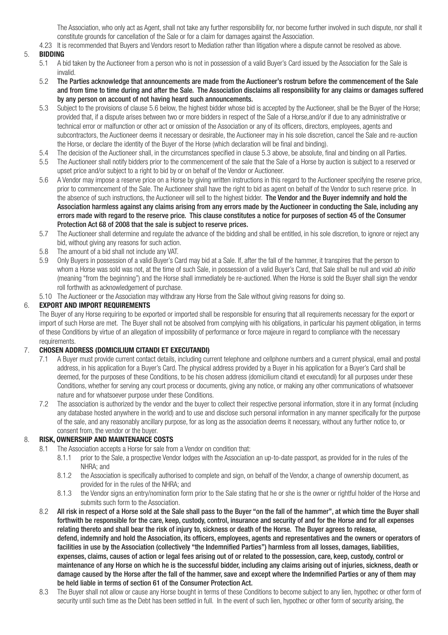The Association, who only act as Agent, shall not take any further responsibility for, nor become further involved in such dispute, nor shall it constitute grounds for cancellation of the Sale or for a claim for damages against the Association.

4.23 It is recommended that Buyers and Vendors resort to Mediation rather than litigation where a dispute cannot be resolved as above.

# 5. **BIDDING**

- 5.1 A bid taken by the Auctioneer from a person who is not in possession of a valid Buyer's Card issued by the Association for the Sale is invalid.
- 5.2 The Parties acknowledge that announcements are made from the Auctioneer's rostrum before the commencement of the Sale and from time to time during and after the Sale. The Association disclaims all responsibility for any claims or damages suffered by any person on account of not having heard such announcements.
- 5.3 Subject to the provisions of clause 5.6 below, the highest bidder whose bid is accepted by the Auctioneer, shall be the Buyer of the Horse; provided that, if a dispute arises between two or more bidders in respect of the Sale of a Horse,and/or if due to any administrative or technical error or malfunction or other act or omission of the Association or any of its officers, directors, employees, agents and subcontractors, the Auctioneer deems it necessary or desirable, the Auctioneer may in his sole discretion, cancel the Sale and re-auction the Horse, or declare the identity of the Buyer of the Horse (which declaration will be final and binding).
- 5.4 The decision of the Auctioneer shall, in the circumstances specified in clause 5.3 above, be absolute, final and binding on all Parties.
- 5.5 The Auctioneer shall notify bidders prior to the commencement of the sale that the Sale of a Horse by auction is subject to a reserved or upset price and/or subject to a right to bid by or on behalf of the Vendor or Auctioneer.
- 5.6 A Vendor may impose a reserve price on a Horse by giving written instructions in this regard to the Auctioneer specifying the reserve price, prior to commencement of the Sale. The Auctioneer shall have the right to bid as agent on behalf of the Vendor to such reserve price. In the absence of such instructions, the Auctioneer will sell to the highest bidder. The Vendor and the Buyer indemnify and hold the Association harmless against any claims arising from any errors made by the Auctioneer in conducting the Sale, including any errors made with regard to the reserve price. This clause constitutes a notice for purposes of section 45 of the Consumer Protection Act 68 of 2008 that the sale is subject to reserve prices.
- 5.7 The Auctioneer shall determine and regulate the advance of the bidding and shall be entitled, in his sole discretion, to ignore or reject any bid, without giving any reasons for such action.
- 5.8 The amount of a bid shall not include any VAT.
- 5.9 Only Buyers in possession of a valid Buyer's Card may bid at a Sale. If, after the fall of the hammer, it transpires that the person to whom a Horse was sold was not, at the time of such Sale, in possession of a valid Buyer's Card, that Sale shall be null and void *ab initio* (meaning "from the beginning") and the Horse shall immediately be re-auctioned. When the Horse is sold the Buyer shall sign the vendor roll forthwith as acknowledgement of purchase.
- 5.10 The Auctioneer or the Association may withdraw any Horse from the Sale without giving reasons for doing so.

# 6. **EXPORT AND IMPORT REQUIREMENTS**

The Buyer of any Horse requiring to be exported or imported shall be responsible for ensuring that all requirements necessary for the export or import of such Horse are met. The Buyer shall not be absolved from complying with his obligations, in particular his payment obligation, in terms of these Conditions by virtue of an allegation of impossibility of performance or force majeure in regard to compliance with the necessary requirements.

## 7. **CHOSEN ADDRESS (DOMICILIUM CITANDI ET EXECUTANDI)**

- 7.1 A Buyer must provide current contact details, including current telephone and cellphone numbers and a current physical, email and postal address, in his application for a Buyer's Card. The physical address provided by a Buyer in his application for a Buyer's Card shall be deemed, for the purposes of these Conditions, to be his chosen address (domicilium citandi et executandi) for all purposes under these Conditions, whether for serving any court process or documents, giving any notice, or making any other communications of whatsoever nature and for whatsoever purpose under these Conditions.
- 7.2 The association is authorized by the vendor and the buyer to collect their respective personal information, store it in any format (including any database hosted anywhere in the world) and to use and disclose such personal information in any manner specifically for the purpose of the sale, and any reasonably ancillary purpose, for as long as the association deems it necessary, without any further notice to, or consent from, the vendor or the buyer.

### 8. **RISK, OWNERSHIP AND MAINTENANCE COSTS**

- 8.1 The Association accepts a Horse for sale from a Vendor on condition that:
	- 8.1.1 prior to the Sale, a prospective Vendor lodges with the Association an up-to-date passport, as provided for in the rules of the NHRA; and
	- 8.1.2 the Association is specifically authorised to complete and sign, on behalf of the Vendor, a change of ownership document, as provided for in the rules of the NHRA; and<br>8.1.3 the Vendor signs an entry/nomination form
	- the Vendor signs an entry/nomination form prior to the Sale stating that he or she is the owner or rightful holder of the Horse and submits such form to the Association.
- 8.2 All risk in respect of a Horse sold at the Sale shall pass to the Buyer "on the fall of the hammer", at which time the Buyer shall forthwith be responsible for the care, keep, custody, control, insurance and security of and for the Horse and for all expenses relating thereto and shall bear the risk of injury to, sickness or death of the Horse. The Buyer agrees to release, defend, indemnify and hold the Association, its officers, employees, agents and representatives and the owners or operators of facilities in use by the Association (collectively "the Indemnified Parties") harmless from all losses, damages, liabilities, expenses, claims, causes of action or legal fees arising out of or related to the possession, care, keep, custody, control or maintenance of any Horse on which he is the successful bidder, including any claims arising out of injuries, sickness, death or damage caused by the Horse after the fall of the hammer, save and except where the Indemnified Parties or any of them may be held liable in terms of section 61 of the Consumer Protection Act.
- 8.3 The Buyer shall not allow or cause any Horse bought in terms of these Conditions to become subject to any lien, hypothec or other form of security until such time as the Debt has been settled in full. In the event of such lien, hypothec or other form of security arising, the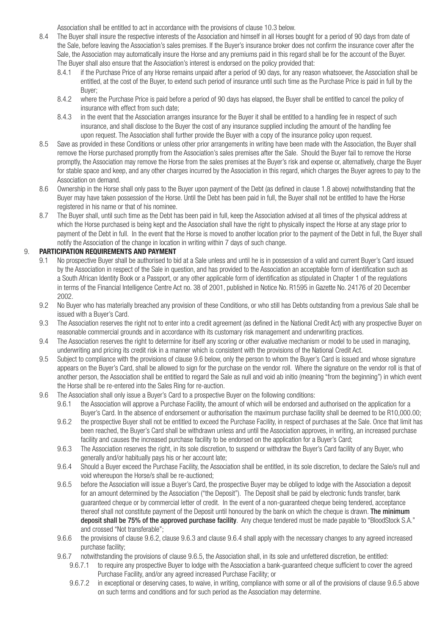Association shall be entitled to act in accordance with the provisions of clause 10.3 below.

- 8.4 The Buyer shall insure the respective interests of the Association and himself in all Horses bought for a period of 90 days from date of the Sale, before leaving the Association's sales premises. If the Buyer's insurance broker does not confirm the insurance cover after the Sale, the Association may automatically insure the Horse and any premiums paid in this regard shall be for the account of the Buyer. The Buyer shall also ensure that the Association's interest is endorsed on the policy provided that:<br>8.4.1 if the Purchase Price of any Horse remains unpaid after a period of 90 days, for any reaso
	- 8.4.1 if the Purchase Price of any Horse remains unpaid after a period of 90 days, for any reason whatsoever, the Association shall be entitled, at the cost of the Buyer, to extend such period of insurance until such time as the Purchase Price is paid in full by the Buyer;
	- 8.4.2 where the Purchase Price is paid before a period of 90 days has elapsed, the Buyer shall be entitled to cancel the policy of insurance with effect from such date;
	- 8.4.3 in the event that the Association arranges insurance for the Buyer it shall be entitled to a handling fee in respect of such insurance, and shall disclose to the Buyer the cost of any insurance supplied including the amount of the handling fee upon request. The Association shall further provide the Buyer with a copy of the insurance policy upon request.
- 8.5 Save as provided in these Conditions or unless other prior arrangements in writing have been made with the Association, the Buyer shall remove the Horse purchased promptly from the Association's sales premises after the Sale. Should the Buyer fail to remove the Horse promptly, the Association may remove the Horse from the sales premises at the Buyer's risk and expense or, alternatively, charge the Buyer for stable space and keep, and any other charges incurred by the Association in this regard, which charges the Buyer agrees to pay to the Association on demand.<br>8.6 Ownership in the Horse
- Ownership in the Horse shall only pass to the Buyer upon payment of the Debt (as defined in clause 1.8 above) notwithstanding that the Buyer may have taken possession of the Horse. Until the Debt has been paid in full, the Buyer shall not be entitled to have the Horse registered in his name or that of his nominee.<br>8.7 The Buver shall, until such time as the Debt ha
- The Buyer shall, until such time as the Debt has been paid in full, keep the Association advised at all times of the physical address at which the Horse purchased is being kept and the Association shall have the right to physically inspect the Horse at any stage prior to payment of the Debt in full. In the event that the Horse is moved to another location prior to the payment of the Debt in full, the Buyer shall notify the Association of the change in location in writing within 7 days of such change.

### 9. **PARTICIPATION REQUIREMENTS AND PAYMENT**

- 9.1 No prospective Buyer shall be authorised to bid at a Sale unless and until he is in possession of a valid and current Buyer's Card issued by the Association in respect of the Sale in question, and has provided to the Association an acceptable form of identification such as a South African Identity Book or a Passport, or any other applicable form of identification as stipulated in Chapter 1 of the regulations in terms of the Financial Intelligence Centre Act no. 38 of 2001, published in Notice No. R1595 in Gazette No. 24176 of 20 December 2002.
- 9.2 No Buyer who has materially breached any provision of these Conditions, or who still has Debts outstanding from a previous Sale shall be issued with a Buyer's Card.
- 9.3 The Association reserves the right not to enter into a credit agreement (as defined in the National Credit Act) with any prospective Buyer on reasonable commercial grounds and in accordance with its customary risk management and underwriting practices.
- 9.4 The Association reserves the right to determine for itself any scoring or other evaluative mechanism or model to be used in managing, underwriting and pricing its credit risk in a manner which is consistent with the provisions of the National Credit Act.<br>9.5 Subject to compliance with the provisions of clause 9.6 below, only the person to whom the Buver'
- Subject to compliance with the provisions of clause 9.6 below, only the person to whom the Buyer's Card is issued and whose signature appears on the Buyer's Card, shall be allowed to sign for the purchase on the vendor roll. Where the signature on the vendor roll is that of another person, the Association shall be entitled to regard the Sale as null and void ab initio (meaning "from the beginning") in which event the Horse shall be re-entered into the Sales Ring for re-auction.
- 9.6 The Association shall only issue a Buyer's Card to a prospective Buyer on the following conditions:
	- 9.6.1 the Association will approve a Purchase Facility, the amount of which will be endorsed and authorised on the application for a Buyer's Card. In the absence of endorsement or authorisation the maximum purchase facility shall be deemed to be R10,000.00;
	- 9.6.2 the prospective Buyer shall not be entitled to exceed the Purchase Facility, in respect of purchases at the Sale. Once that limit has been reached, the Buyer's Card shall be withdrawn unless and until the Association approves, in writing, an increased purchase facility and causes the increased purchase facility to be endorsed on the application for a Buyer's Card;
	- 9.6.3 The Association reserves the right, in its sole discretion, to suspend or withdraw the Buyer's Card facility of any Buyer, who generally and/or habitually pays his or her account late;
	- 9.6.4 Should a Buyer exceed the Purchase Facility, the Association shall be entitled, in its sole discretion, to declare the Sale/s null and void whereupon the Horse/s shall be re-auctioned;
	- 9.6.5 before the Association will issue a Buyer's Card, the prospective Buyer may be obliged to lodge with the Association a deposit for an amount determined by the Association ("the Deposit"). The Deposit shall be paid by electronic funds transfer, bank guaranteed cheque or by commercial letter of credit. In the event of a non-guaranteed cheque being tendered, acceptance thereof shall not constitute payment of the Deposit until honoured by the bank on which the cheque is drawn. The minimum deposit shall be 75% of the approved purchase facility. Any cheque tendered must be made payable to "BloodStock S.A." and crossed "Not transferable";
	- 9.6.6 the provisions of clause 9.6.2, clause 9.6.3 and clause 9.6.4 shall apply with the necessary changes to any agreed increased purchase facility;
	- 9.6.7 notwithstanding the provisions of clause 9.6.5, the Association shall, in its sole and unfettered discretion, be entitled:
		- 9.6.7.1 to require any prospective Buyer to lodge with the Association a bank-guaranteed cheque sufficient to cover the agreed Purchase Facility, and/or any agreed increased Purchase Facility; or
		- 9.6.7.2 in exceptional or deserving cases, to waive, in writing, compliance with some or all of the provisions of clause 9.6.5 above on such terms and conditions and for such period as the Association may determine.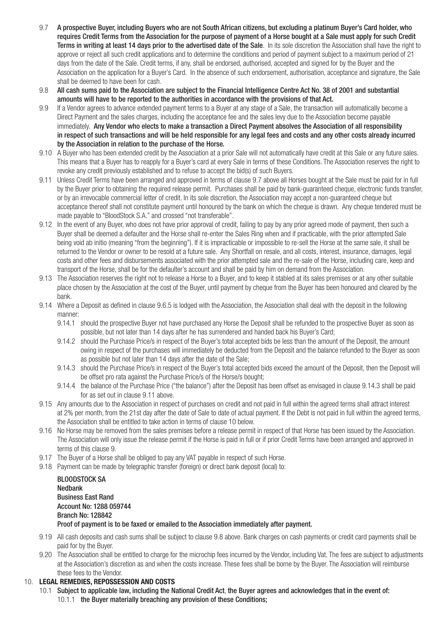- 9.7 A prospective Buyer, including Buyers who are not South African citizens, but excluding a platinum Buyer's Card holder, who requires Credit Terms from the Association for the purpose of payment of a Horse bought at a Sale must apply for such Credit Terms in writing at least 14 days prior to the advertised date of the Sale. In its sole discretion the Association shall have the right to approve or reject all such credit applications and to determine the conditions and period of payment subject to a maximum period of 21 days from the date of the Sale. Credit terms, if any, shall be endorsed, authorised, accepted and signed for by the Buyer and the Association on the application for a Buyer's Card. In the absence of such endorsement, authorisation, acceptance and signature, the Sale shall be deemed to have been for cash.
- 9.8 All cash sums paid to the Association are subject to the Financial Intelligence Centre Act No. 38 of 2001 and substantial amounts will have to be reported to the authorities in accordance with the provisions of that Act.
- 9.9 If a Vendor agrees to advance extended payment terms to a Buyer at any stage of a Sale, the transaction will automatically become a Direct Payment and the sales charges, including the acceptance fee and the sales levy due to the Association become payable immediately. Any Vendor who elects to make a transaction a Direct Payment absolves the Association of all responsibility in respect of such transactions and will be held responsible for any legal fees and costs and any other costs already incurred by the Association in relation to the purchase of the Horse.
- 9.10 A Buyer who has been extended credit by the Association at a prior Sale will not automatically have credit at this Sale or any future sales. This means that a Buyer has to reapply for a Buyer's card at every Sale in terms of these Conditions. The Association reserves the right to revoke any credit previously established and to refuse to accept the bid(s) of such Buyers.
- 9.11 Unless Credit Terms have been arranged and approved in terms of clause 9.7 above all Horses bought at the Sale must be paid for in full by the Buyer prior to obtaining the required release permit. Purchases shall be paid by bank-guaranteed cheque, electronic funds transfer. or by an irrevocable commercial letter of credit. In its sole discretion, the Association may accept a non-guaranteed cheque but acceptance thereof shall not constitute payment until honoured by the bank on which the cheque is drawn. Any cheque tendered must be made payable to "BloodStock S.A." and crossed "not transferable".
- 9.12 In the event of any Buyer, who does not have prior approval of credit, failing to pay by any prior agreed mode of payment, then such a Buyer shall be deemed a defaulter and the Horse shall re-enter the Sales Ring when and if practicable, with the prior attempted Sale being void ab initio (meaning "from the beginning"). If it is impracticable or impossible to re-sell the Horse at the same sale, it shall be returned to the Vendor or owner to be resold at a future sale. Any Shortfall on resale, and all costs, interest, insurance, damages, legal costs and other fees and disbursements associated with the prior attempted sale and the re-sale of the Horse, including care, keep and transport of the Horse, shall be for the defaulter's account and shall be paid by him on demand from the Association.
- 9.13 The Association reserves the right not to release a Horse to a Buyer, and to keep it stabled at its sales premises or at any other suitable place chosen by the Association at the cost of the Buyer, until payment by cheque from the Buyer has been honoured and cleared by the bank.
- 9.14 Where a Deposit as defined in clause 9.6.5 is lodged with the Association, the Association shall deal with the deposit in the following manner:
	- 9.14.1 should the prospective Buyer not have purchased any Horse the Deposit shall be refunded to the prospective Buyer as soon as possible, but not later than 14 days after he has surrendered and handed back his Buyer's Card;
	- 9.14.2 should the Purchase Price/s in respect of the Buver's total accepted bids be less than the amount of the Deposit, the amount owing in respect of the purchases will immediately be deducted from the Deposit and the balance refunded to the Buyer as soon as possible but not later than 14 days after the date of the Sale;
	- 9.14.3 should the Purchase Price/s in respect of the Buyer's total accepted bids exceed the amount of the Deposit, then the Deposit will be offset pro rata against the Purchase Price/s of the Horse/s bought;
	- 9.14.4 the balance of the Purchase Price ("the balance") after the Deposit has been offset as envisaged in clause 9.14.3 shall be paid for as set out in clause 9.11 above.
- 9.15 Any amounts due to the Association in respect of purchases on credit and not paid in full within the agreed terms shall attract interest at 2% per month, from the 21st day after the date of Sale to date of actual payment. If the Debt is not paid in full within the agreed terms, the Association shall be entitled to take action in terms of clause 10 below.
- 9.16 No Horse may be removed from the sales premises before a release permit in respect of that Horse has been issued by the Association. The Association will only issue the release permit if the Horse is paid in full or if prior Credit Terms have been arranged and approved in terms of this clause 9.
- 9.17 The Buyer of a Horse shall be obliged to pay any VAT payable in respect of such Horse.
- 9.18 Payment can be made by telegraphic transfer (foreign) or direct bank deposit (local) to:

| <b>BLOODSTOCK SA</b>                                                                     |
|------------------------------------------------------------------------------------------|
| Nedbank                                                                                  |
| <b>Business East Rand</b>                                                                |
| Account No: 1288 059744                                                                  |
| <b>Branch No: 128842</b>                                                                 |
| Proof of payment is to be faxed or emailed to the Association immediately after payment. |

- 9.19 All cash deposits and cash sums shall be subject to clause 9.8 above. Bank charges on cash payments or credit card payments shall be paid for by the Buyer.
- 9.20 The Association shall be entitled to charge for the microchip fees incurred by the Vendor, including Vat. The fees are subject to adjustments at the Association's discretion as and when the costs increase. These fees shall be borne by the Buyer. The Association will reimburse these fees to the Vendor.

### 10. **LEGAL REMEDIES, REPOSSESSION AND COSTS**

10.1 Subject to applicable law, including the National Credit Act, the Buyer agrees and acknowledges that in the event of: 10.1.1 the Buyer materially breaching any provision of these Conditions;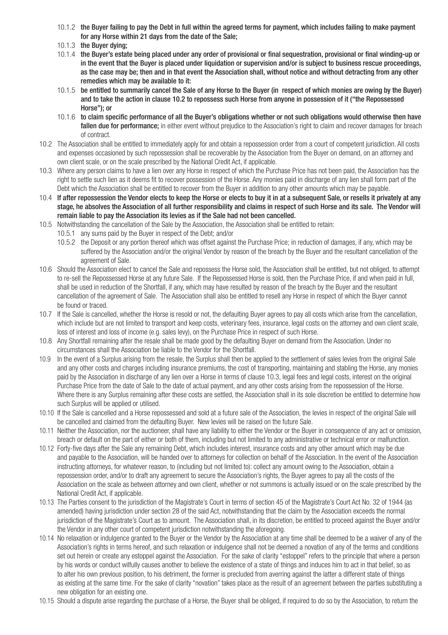- 10.1.2 the Buyer failing to pay the Debt in full within the agreed terms for payment, which includes failing to make payment for any Horse within 21 days from the date of the Sale;
- 10.1.3 the Buyer dying;
- 10.1.4 the Buyer's estate being placed under any order of provisional or final sequestration, provisional or final winding-up or in the event that the Buyer is placed under liquidation or supervision and/or is subject to business rescue proceedings, as the case may be; then and in that event the Association shall, without notice and without detracting from any other remedies which may be available to it:
- 10.1.5 be entitled to summarily cancel the Sale of any Horse to the Buyer (in respect of which monies are owing by the Buyer) and to take the action in clause 10.2 to repossess such Horse from anyone in possession of it ("the Repossessed Horse"); or
- 10.1.6 to claim specific performance of all the Buyer's obligations whether or not such obligations would otherwise then have fallen due for performance; in either event without prejudice to the Association's right to claim and recover damages for breach of contract.
- 10.2 The Association shall be entitled to immediately apply for and obtain a repossession order from a court of competent jurisdiction. All costs and expenses occasioned by such repossession shall be recoverable by the Association from the Buyer on demand, on an attorney and own client scale, or on the scale prescribed by the National Credit Act, if applicable.
- 10.3 Where any person claims to have a lien over any Horse in respect of which the Purchase Price has not been paid, the Association has the right to settle such lien as it deems fit to recover possession of the Horse. Any monies paid in discharge of any lien shall form part of the Debt which the Association shall be entitled to recover from the Buyer in addition to any other amounts which may be payable.
- 10.4 If after repossession the Vendor elects to keep the Horse or elects to buy it in at a subsequent Sale, or resells it privately at any stage, he absolves the Association of all further responsibility and claims in respect of such Horse and its sale. The Vendor will remain liable to pay the Association its levies as if the Sale had not been cancelled.
- 10.5 Notwithstanding the cancellation of the Sale by the Association, the Association shall be entitled to retain:
	- 10.5.1 any sums paid by the Buyer in respect of the Debt; and/or
	- 10.5.2 the Deposit or any portion thereof which was offset against the Purchase Price; in reduction of damages, if any, which may be suffered by the Association and/or the original Vendor by reason of the breach by the Buyer and the resultant cancellation of the agreement of Sale.
- 10.6 Should the Association elect to cancel the Sale and repossess the Horse sold, the Association shall be entitled, but not obliged, to attempt to re-sell the Repossessed Horse at any future Sale. If the Repossessed Horse is sold, then the Purchase Price, if and when paid in full, shall be used in reduction of the Shortfall, if any, which may have resulted by reason of the breach by the Buyer and the resultant cancellation of the agreement of Sale. The Association shall also be entitled to resell any Horse in respect of which the Buyer cannot be found or traced.
- 10.7 If the Sale is cancelled, whether the Horse is resold or not, the defaulting Buyer agrees to pay all costs which arise from the cancellation, which include but are not limited to transport and keep costs, veterinary fees, insurance, legal costs on the attorney and own client scale. loss of interest and loss of income (e.g. sales levy), on the Purchase Price in respect of such Horse.
- 10.8 Any Shortfall remaining after the resale shall be made good by the defaulting Buyer on demand from the Association. Under no circumstances shall the Association be liable to the Vendor for the Shortfall.
- 10.9 In the event of a Surplus arising from the resale, the Surplus shall then be applied to the settlement of sales levies from the original Sale and any other costs and charges including insurance premiums, the cost of transporting, maintaining and stabling the Horse, any monies paid by the Association in discharge of any lien over a Horse in terms of clause 10.3, legal fees and legal costs, interest on the original Purchase Price from the date of Sale to the date of actual payment, and any other costs arising from the repossession of the Horse. Where there is any Surplus remaining after these costs are settled, the Association shall in its sole discretion be entitled to determine how such Surplus will be applied or utilised.
- 10.10 If the Sale is cancelled and a Horse repossessed and sold at a future sale of the Association, the levies in respect of the original Sale will be cancelled and claimed from the defaulting Buyer. New levies will be raised on the future Sale.
- 10.11 Neither the Association, nor the auctioneer, shall have any liability to either the Vendor or the Buyer in consequence of any act or omission, breach or default on the part of either or both of them, including but not limited to any administrative or technical error or malfunction.
- 10.12 Forty-five days after the Sale any remaining Debt, which includes interest, insurance costs and any other amount which may be due and payable to the Association, will be handed over to attorneys for collection on behalf of the Association. In the event of the Association instructing attorneys, for whatever reason, to (including but not limited to): collect any amount owing to the Association, obtain a repossession order, and/or to draft any agreement to secure the Association's rights, the Buyer agrees to pay all the costs of the Association on the scale as between attorney and own client, whether or not summons is actually issued or on the scale prescribed by the National Credit Act, if applicable.
- 10.13 The Parties consent to the jurisdiction of the Magistrate's Court in terms of section 45 of the Magistrate's Court Act No. 32 of 1944 (as amended) having jurisdiction under section 28 of the said Act, notwithstanding that the claim by the Association exceeds the normal jurisdiction of the Magistrate's Court as to amount. The Association shall, in its discretion, be entitled to proceed against the Buyer and/or the Vendor in any other court of competent jurisdiction notwithstanding the aforegoing.
- 10.14 No relaxation or indulgence granted to the Buyer or the Vendor by the Association at any time shall be deemed to be a waiver of any of the Association's rights in terms hereof, and such relaxation or indulgence shall not be deemed a novation of any of the terms and conditions set out herein or create any estoppel against the Association. For the sake of clarity "estoppel" refers to the principle that where a person by his words or conduct wilfully causes another to believe the existence of a state of things and induces him to act in that belief, so as to alter his own previous position, to his detriment, the former is precluded from averring against the latter a different state of things as existing at the same time. For the sake of clarity "novation" takes place as the result of an agreement between the parties substituting a new obligation for an existing one.
- 10.15 Should a dispute arise regarding the purchase of a Horse, the Buyer shall be obliged, if required to do so by the Association, to return the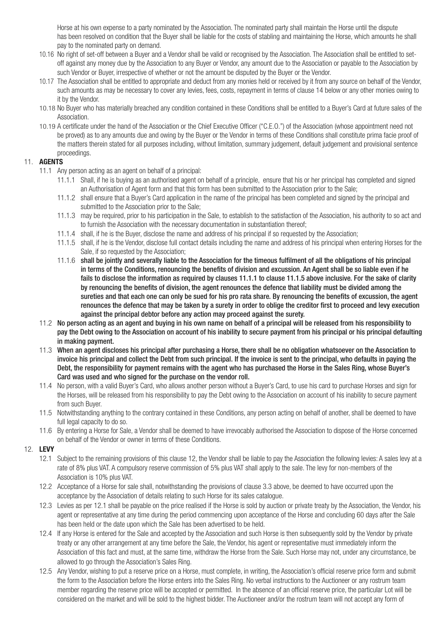Horse at his own expense to a party nominated by the Association. The nominated party shall maintain the Horse until the dispute has been resolved on condition that the Buyer shall be liable for the costs of stabling and maintaining the Horse, which amounts he shall pay to the nominated party on demand.

- 10.16 No right of set-off between a Buyer and a Vendor shall be valid or recognised by the Association. The Association shall be entitled to set off against any money due by the Association to any Buyer or Vendor, any amount due to the Association or payable to the Association by such Vendor or Buyer, irrespective of whether or not the amount be disputed by the Buyer or the Vendor.
- 10.17 The Association shall be entitled to appropriate and deduct from any monies held or received by it from any source on behalf of the Vendor, such amounts as may be necessary to cover any levies, fees, costs, repayment in terms of clause 14 below or any other monies owing to it by the Vendor.
- 10.18 No Buyer who has materially breached any condition contained in these Conditions shall be entitled to a Buyer's Card at future sales of the Association.
- 10.19 A certificate under the hand of the Association or the Chief Executive Officer ("C.E.O.") of the Association (whose appointment need not be proved) as to any amounts due and owing by the Buyer or the Vendor in terms of these Conditions shall constitute prima facie proof of the matters therein stated for all purposes including, without limitation, summary judgement, default judgement and provisional sentence proceedings.

## 11. **AGENTS**

- 11.1 Any person acting as an agent on behalf of a principal:
	- 11.1.1 Shall, if he is buying as an authorised agent on behalf of a principle, ensure that his or her principal has completed and signed an Authorisation of Agent form and that this form has been submitted to the Association prior to the Sale;
	- 11.1.2 shall ensure that a Buyer's Card application in the name of the principal has been completed and signed by the principal and submitted to the Association prior to the Sale;
	- 11.1.3 may be required, prior to his participation in the Sale, to establish to the satisfaction of the Association, his authority to so act and to furnish the Association with the necessary documentation in substantiation thereof;
	- 11.1.4 shall, if he is the Buyer, disclose the name and address of his principal if so requested by the Association;
	- 11.1.5 shall, if he is the Vendor, disclose full contact details including the name and address of his principal when entering Horses for the Sale, if so requested by the Association;
	- 11.1.6 shall be jointly and severally liable to the Association for the timeous fulfilment of all the obligations of his principal in terms of the Conditions, renouncing the benefits of division and excussion. An Agent shall be so liable even if he fails to disclose the information as required by clauses 11.1.1 to clause 11.1.5 above inclusive. For the sake of clarity by renouncing the benefits of division, the agent renounces the defence that liability must be divided among the sureties and that each one can only be sued for his pro rata share. By renouncing the benefits of excussion, the agent renounces the defence that may be taken by a surety in order to oblige the creditor first to proceed and levy execution against the principal debtor before any action may proceed against the surety.
- 11.2 No person acting as an agent and buying in his own name on behalf of a principal will be released from his responsibility to pay the Debt owing to the Association on account of his inability to secure payment from his principal or his principal defaulting in making payment.
- 11.3 When an agent discloses his principal after purchasing a Horse, there shall be no obligation whatsoever on the Association to invoice his principal and collect the Debt from such principal. If the invoice is sent to the principal, who defaults in paying the Debt, the responsibility for payment remains with the agent who has purchased the Horse in the Sales Ring, whose Buyer's Card was used and who signed for the purchase on the vendor roll.
- 11.4 No person, with a valid Buyer's Card, who allows another person without a Buyer's Card, to use his card to purchase Horses and sign for the Horses, will be released from his responsibility to pay the Debt owing to the Association on account of his inability to secure payment from such Buyer.
- 11.5 Notwithstanding anything to the contrary contained in these Conditions, any person acting on behalf of another, shall be deemed to have full legal capacity to do so.
- 11.6 By entering a Horse for Sale, a Vendor shall be deemed to have irrevocably authorised the Association to dispose of the Horse concerned on behalf of the Vendor or owner in terms of these Conditions.
- 12. **LEVY**
	- 12.1 Subject to the remaining provisions of this clause 12, the Vendor shall be liable to pay the Association the following levies: A sales levy at a rate of 8% plus VAT. A compulsory reserve commission of 5% plus VAT shall apply to the sale. The levy for non-members of the Association is 10% plus VAT.
	- 12.2 Acceptance of a Horse for sale shall, notwithstanding the provisions of clause 3.3 above, be deemed to have occurred upon the acceptance by the Association of details relating to such Horse for its sales catalogue.
	- 12.3 Levies as per 12.1 shall be payable on the price realised if the Horse is sold by auction or private treaty by the Association, the Vendor, his agent or representative at any time during the period commencing upon acceptance of the Horse and concluding 60 days after the Sale has been held or the date upon which the Sale has been advertised to be held.
	- 12.4 If any Horse is entered for the Sale and accepted by the Association and such Horse is then subsequently sold by the Vendor by private treaty or any other arrangement at any time before the Sale, the Vendor, his agent or representative must immediately inform the Association of this fact and must, at the same time, withdraw the Horse from the Sale. Such Horse may not, under any circumstance, be allowed to go through the Association's Sales Ring.
	- 12.5 Any Vendor, wishing to put a reserve price on a Horse, must complete, in writing, the Association's official reserve price form and submit the form to the Association before the Horse enters into the Sales Ring. No verbal instructions to the Auctioneer or any rostrum team member regarding the reserve price will be accepted or permitted. In the absence of an official reserve price, the particular Lot will be considered on the market and will be sold to the highest bidder. The Auctioneer and/or the rostrum team will not accept any form of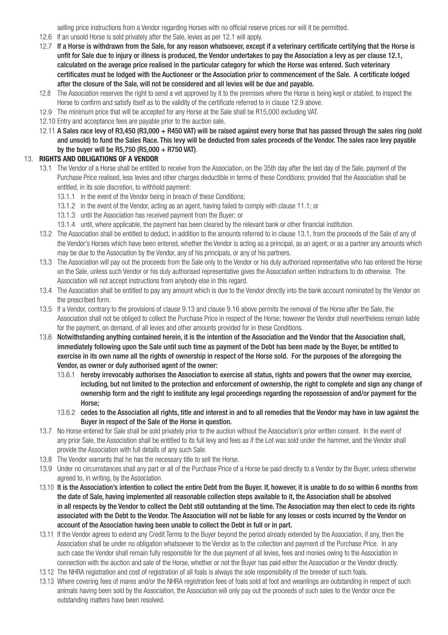selling price instructions from a Vendor regarding Horses with no official reserve prices nor will it be permitted.

- 12.6 If an unsold Horse is sold privately after the Sale, levies as per 12.1 will apply.
- 12.7 If a Horse is withdrawn from the Sale, for any reason whatsoever, except if a veterinary certificate certifying that the Horse is unfit for Sale due to injury or illness is produced, the Vendor undertakes to pay the Association a levy as per clause 12.1, calculated on the average price realised in the particular category for which the Horse was entered. Such veterinary certificates must be lodged with the Auctioneer or the Association prior to commencement of the Sale. A certificate lodged after the closure of the Sale, will not be considered and all levies will be due and payable.
- 12.8 The Association reserves the right to send a vet approved by it to the premises where the Horse is being kept or stabled, to inspect the Horse to confirm and satisfy itself as to the validity of the certificate referred to in clause 12.9 above.
- 12.9 The minimum price that will be accepted for any Horse at the Sale shall be R15,000 excluding VAT.
- 12.10 Entry and acceptance fees are payable prior to the auction sale.
- 12.11 A Sales race levy of R3,450 (R3,000 + R450 VAT) will be raised against every horse that has passed through the sales ring (sold and unsold) to fund the Sales Race. This levy will be deducted from sales proceeds of the Vendor. The sales race levy payable by the buyer will be R5,750 (R5,000 + R750 VAT).

#### 13. **RIGHTS AND OBLIGATIONS OF A VENDOR**

- 13.1 The Vendor of a Horse shall be entitled to receive from the Association, on the 35th day after the last day of the Sale, payment of the Purchase Price realised, less levies and other charges deductible in terms of these Conditions; provided that the Association shall be entitled, in its sole discretion, to withhold payment:
	- 13.1.1 in the event of the Vendor being in breach of these Conditions;
	- 13.1.2 in the event of the Vendor, acting as an agent, having failed to comply with clause 11.1; or
	- 13.1.3 until the Association has received payment from the Buyer; or
	- 13.1.4 until, where applicable, the payment has been cleared by the relevant bank or other financial institution.
- 13.2 The Association shall be entitled to deduct, in addition to the amounts referred to in clause 13.1, from the proceeds of the Sale of any of the Vendor's Horses which have been entered, whether the Vendor is acting as a principal, as an agent, or as a partner any amounts which may be due to the Association by the Vendor, any of his principals, or any of his partners.
- 13.3 The Association will pay out the proceeds from the Sale only to the Vendor or his duly authorised representative who has entered the Horse on the Sale, unless such Vendor or his duly authorised representative gives the Association written instructions to do otherwise. The Association will not accept instructions from anybody else in this regard.
- 13.4 The Association shall be entitled to pay any amount which is due to the Vendor directly into the bank account nominated by the Vendor on the prescribed form.
- 13.5 If a Vendor, contrary to the provisions of clause 9.13 and clause 9.16 above permits the removal of the Horse after the Sale, the Association shall not be obliged to collect the Purchase Price in respect of the Horse; however the Vendor shall nevertheless remain liable for the payment, on demand, of all levies and other amounts provided for in these Conditions.
- 13.6 Notwithstanding anything contained herein, it is the intention of the Association and the Vendor that the Association shall, immediately following upon the Sale until such time as payment of the Debt has been made by the Buyer, be entitled to exercise in its own name all the rights of ownership in respect of the Horse sold. For the purposes of the aforegoing the Vendor, as owner or duly authorised agent of the owner:
	- 13.6.1 hereby irrevocably authorises the Association to exercise all status, rights and powers that the owner may exercise, including, but not limited to the protection and enforcement of ownership, the right to complete and sign any change of ownership form and the right to institute any legal proceedings regarding the repossession of and/or payment for the Horse;
	- 13.6.2 cedes to the Association all rights, title and interest in and to all remedies that the Vendor may have in law against the Buyer in respect of the Sale of the Horse in question.
- 13.7 No Horse entered for Sale shall be sold privately prior to the auction without the Association's prior written consent. In the event of any prior Sale, the Association shall be entitled to its full levy and fees as if the Lot was sold under the hammer, and the Vendor shall provide the Association with full details of any such Sale.
- 13.8 The Vendor warrants that he has the necessary title to sell the Horse.
- 13.9 Under no circumstances shall any part or all of the Purchase Price of a Horse be paid directly to a Vendor by the Buyer, unless otherwise agreed to, in writing, by the Association.
- 13.10 It is the Association's intention to collect the entire Debt from the Buyer. If, however, it is unable to do so within 6 months from the date of Sale, having implemented all reasonable collection steps available to it, the Association shall be absolved in all respects by the Vendor to collect the Debt still outstanding at the time. The Association may then elect to cede its rights associated with the Debt to the Vendor. The Association will not be liable for any losses or costs incurred by the Vendor on account of the Association having been unable to collect the Debt in full or in part.
- 13.11 If the Vendor agrees to extend any Credit Terms to the Buyer beyond the period already extended by the Association, if any, then the Association shall be under no obligation whatsoever to the Vendor as to the collection and payment of the Purchase Price. In any such case the Vendor shall remain fully responsible for the due payment of all levies, fees and monies owing to the Association in connection with the auction and sale of the Horse, whether or not the Buyer has paid either the Association or the Vendor directly.
- 13.12 The NHRA registration and cost of registration of all foals is always the sole responsibility of the breeder of such foals.
- 13.13 Where covering fees of mares and/or the NHRA registration fees of foals sold at foot and weanlings are outstanding in respect of such animals having been sold by the Association, the Association will only pay out the proceeds of such sales to the Vendor once the outstanding matters have been resolved.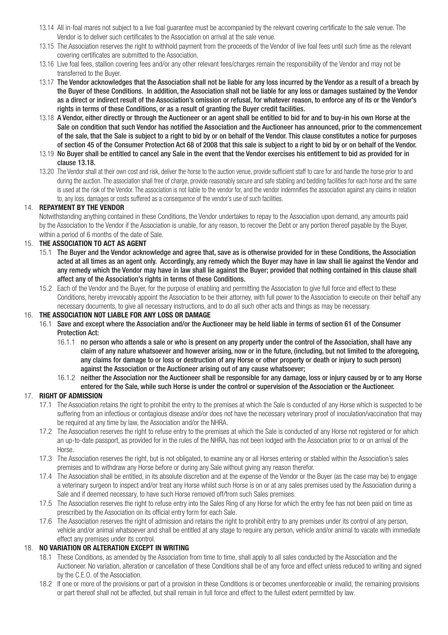- 13.14 All in-foal mares not subject to a live foal guarantee must be accompanied by the relevant covering certificate to the sale venue. The Vendor is to deliver such certificates to the Association on arrival at the sale venue.
- 13.15 The Association reserves the right to withhold payment from the proceeds of the Vendor of live foal fees until such time as the relevant covering certificates are submitted to the Association.
- 13.16 Live foal fees, stallion covering fees and/or any other relevant fees/charges remain the responsibility of the Vendor and may not be transferred to the Buyer.
- 13.17 The Vendor acknowledges that the Association shall not be liable for any loss incurred by the Vendor as a result of a breach by the Buyer of these Conditions. In addition, the Association shall not be liable for any loss or damages sustained by the Vendor as a direct or indirect result of the Association's omission or refusal, for whatever reason, to enforce any of its or the Vendor's rights in terms of these Conditions, or as a result of granting the Buyer credit facilities.
- 13.18 A Vendor, either directly or through the Auctioneer or an agent shall be entitled to bid for and to buy-in his own Horse at the Sale on condition that such Vendor has notified the Association and the Auctioneer has announced, prior to the commencement of the sale, that the Sale is subject to a right to bid by or on behalf of the Vendor. This clause constitutes a notice for purposes of section 45 of the Consumer Protection Act 68 of 2008 that this sale is subject to a right to bid by or on behalf of the Vendor.
- 13.19 No Buyer shall be entitled to cancel any Sale in the event that the Vendor exercises his entitlement to bid as provided for in clause 13.18.
- 13.20 The Vendor shall at their own cost and risk, deliver the horse to the auction venue, provide sufficient staff to care for and handle the horse prior to and during the auction. The association shall free of charge, provide reasonably secure and safe stabling and bedding facilities for each horse and the same is used at the risk of the Vendor. The association is not liable to the vendor for, and the vendor indemnifies the association against any claims in relation to, any loss, damages or costs suffered as a consequence of the vendor's use of such facilities.

#### 14. **REPAYMENT BY THE VENDOR**

Notwithstanding anything contained in these Conditions, the Vendor undertakes to repay to the Association upon demand, any amounts paid by the Association to the Vendor if the Association is unable, for any reason, to recover the Debt or any portion thereof payable by the Buyer, within a period of 6 months of the date of Sale.

#### 15. **THE ASSOCIATION TO ACT AS AGENT**

- 15.1 The Buyer and the Vendor acknowledge and agree that, save as is otherwise provided for in these Conditions, the Association acted at all times as an agent only. Accordingly, any remedy which the Buyer may have in law shall lie against the Vendor and any remedy which the Vendor may have in law shall lie against the Buyer; provided that nothing contained in this clause shall affect any of the Association's rights in terms of these Conditions.
- 15.2 Each of the Vendor and the Buyer, for the purpose of enabling and permitting the Association to give full force and effect to these Conditions, hereby irrevocably appoint the Association to be their attorney, with full power to the Association to execute on their behalf any necessary documents, to give all necessary instructions, and to do all such other acts and things as may be necessary.

#### 16. **THE ASSOCIATION NOT LIABLE FOR ANY LOSS OR DAMAGE**

- 16.1 Save and except where the Association and/or the Auctioneer may be held liable in terms of section 61 of the Consumer Protection Act:
	- 16.1.1 no person who attends a sale or who is present on any property under the control of the Association, shall have any claim of any nature whatsoever and however arising, now or in the future, (including, but not limited to the aforegoing, any claims for damage to or loss or destruction of any Horse or other property or death or injury to such person) against the Association or the Auctioneer arising out of any cause whatsoever;
	- 16.1.2 neither the Association nor the Auctioneer shall be responsible for any damage, loss or injury caused by or to any Horse entered for the Sale, while such Horse is under the control or supervision of the Association or the Auctioneer.

#### 17. **RIGHT OF ADMISSION**

- 17.1 The Association retains the right to prohibit the entry to the premises at which the Sale is conducted of any Horse which is suspected to be suffering from an infectious or contagious disease and/or does not have the necessary veterinary proof of inoculation/vaccination that may be required at any time by law, the Association and/or the NHRA.
- 17.2 The Association reserves the right to refuse entry to the premises at which the Sale is conducted of any Horse not registered or for which an up-to-date passport, as provided for in the rules of the NHRA, has not been lodged with the Association prior to or on arrival of the Horse.
- 17.3 The Association reserves the right, but is not obligated, to examine any or all Horses entering or stabled within the Association's sales premises and to withdraw any Horse before or during any Sale without giving any reason therefor.
- 17.4 The Association shall be entitled, in its absolute discretion and at the expense of the Vendor or the Buyer (as the case may be) to engage a veterinary surgeon to inspect and/or treat any Horse whilst such Horse is on or at any sales premises used by the Association during a Sale and if deemed necessary, to have such Horse removed off/from such Sales premises.
- 17.5 The Association reserves the right to refuse entry into the Sales Ring of any Horse for which the entry fee has not been paid on time as prescribed by the Association on its official entry form for each Sale.
- 17.6 The Association reserves the right of admission and retains the right to prohibit entry to any premises under its control of any person, vehicle and/or animal whatsoever and shall be entitled at any stage to require any person, vehicle and/or animal to vacate with immediate effect any premises under its control.

### 18. **NO VARIATION OR ALTERATION EXCEPT IN WRITING**

- 18.1 These Conditions, as amended by the Association from time to time, shall apply to all sales conducted by the Association and the Auctioneer. No variation, alteration or cancellation of these Conditions shall be of any force and effect unless reduced to writing and signed by the C.E.O. of the Association.
- 18.2 If one or more of the provisions or part of a provision in these Conditions is or becomes unenforceable or invalid, the remaining provisions or part thereof shall not be affected, but shall remain in full force and effect to the fullest extent permitted by law.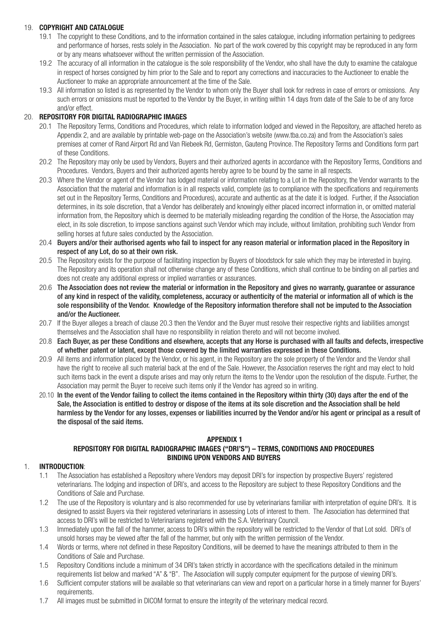## 19. **COPYRIGHT AND CATALOGUE**

- 19.1 The copyright to these Conditions, and to the information contained in the sales catalogue, including information pertaining to pedigrees and performance of horses, rests solely in the Association. No part of the work covered by this copyright may be reproduced in any form or by any means whatsoever without the written permission of the Association.
- 19.2 The accuracy of all information in the catalogue is the sole responsibility of the Vendor, who shall have the duty to examine the catalogue in respect of horses consigned by him prior to the Sale and to report any corrections and inaccuracies to the Auctioneer to enable the Auctioneer to make an appropriate announcement at the time of the Sale.
- 19.3 All information so listed is as represented by the Vendor to whom only the Buyer shall look for redress in case of errors or omissions. Any such errors or omissions must be reported to the Vendor by the Buyer, in writing within 14 days from date of the Sale to be of any force and/or effect.

#### 20. **REPOSITORY FOR DIGITAL RADIOGRAPHIC IMAGES**

- 20.1 The Repository Terms, Conditions and Procedures, which relate to information lodged and viewed in the Repository, are attached hereto as Appendix 2, and are available by printable web-page on the Association's website (www.tba.co.za) and from the Association's sales premises at corner of Rand Airport Rd and Van Riebeek Rd, Germiston, Gauteng Province. The Repository Terms and Conditions form part of these Conditions.
- 20.2 The Repository may only be used by Vendors, Buyers and their authorized agents in accordance with the Repository Terms, Conditions and Procedures. Vendors, Buyers and their authorized agents hereby agree to be bound by the same in all respects.
- 20.3 Where the Vendor or agent of the Vendor has lodged material or information relating to a Lot in the Repository, the Vendor warrants to the Association that the material and information is in all respects valid, complete (as to compliance with the specifications and requirements set out in the Repository Terms, Conditions and Procedures), accurate and authentic as at the date it is lodged. Further, if the Association determines, in its sole discretion, that a Vendor has deliberately and knowingly either placed incorrect information in, or omitted material information from, the Repository which is deemed to be materially misleading regarding the condition of the Horse, the Association may elect, in its sole discretion, to impose sanctions against such Vendor which may include, without limitation, prohibiting such Vendor from selling horses at future sales conducted by the Association.
- 20.4 Buyers and/or their authorised agents who fail to inspect for any reason material or information placed in the Repository in respect of any Lot, do so at their own risk.
- 20.5 The Repository exists for the purpose of facilitating inspection by Buyers of bloodstock for sale which they may be interested in buying. The Repository and its operation shall not otherwise change any of these Conditions, which shall continue to be binding on all parties and does not create any additional express or implied warranties or assurances.
- 20.6 The Association does not review the material or information in the Repository and gives no warranty, guarantee or assurance of any kind in respect of the validity, completeness, accuracy or authenticity of the material or information all of which is the sole responsibility of the Vendor. Knowledge of the Repository information therefore shall not be imputed to the Association and/or the Auctioneer.
- 20.7 If the Buyer alleges a breach of clause 20.3 then the Vendor and the Buyer must resolve their respective rights and liabilities amongst themselves and the Association shall have no responsibility in relation thereto and will not become involved.
- 20.8 Each Buyer, as per these Conditions and elsewhere, accepts that any Horse is purchased with all faults and defects, irrespective of whether patent or latent, except those covered by the limited warranties expressed in these Conditions.
- 20.9 All items and information placed by the Vendor, or his agent, in the Repository are the sole property of the Vendor and the Vendor shall have the right to receive all such material back at the end of the Sale. However, the Association reserves the right and may elect to hold such items back in the event a dispute arises and may only return the items to the Vendor upon the resolution of the dispute. Further, the Association may permit the Buyer to receive such items only if the Vendor has agreed so in writing.
- 20.10 In the event of the Vendor failing to collect the items contained in the Repository within thirty (30) days after the end of the Sale, the Association is entitled to destroy or dispose of the items at its sole discretion and the Association shall be held harmless by the Vendor for any losses, expenses or liabilities incurred by the Vendor and/or his agent or principal as a result of the disposal of the said items.

#### **APPENDIX 1**

### **REPOSITORY FOR DIGITAL RADIOGRAPHIC IMAGES ("DRI'S") – TERMS, CONDITIONS AND PROCEDURES BINDING UPON VENDORS AND BUYERS**

## 1. **INTRODUCTION**:

- 1.1 The Association has established a Repository where Vendors may deposit DRI's for inspection by prospective Buyers' registered veterinarians. The lodging and inspection of DRI's, and access to the Repository are subject to these Repository Conditions and the Conditions of Sale and Purchase.
- 1.2 The use of the Repository is voluntary and is also recommended for use by veterinarians familiar with interpretation of equine DRI's. It is designed to assist Buyers via their registered veterinarians in assessing Lots of interest to them. The Association has determined that access to DRI's will be restricted to Veterinarians registered with the S.A. Veterinary Council.
- 1.3 Immediately upon the fall of the hammer, access to DRI's within the repository will be restricted to the Vendor of that Lot sold. DRI's of unsold horses may be viewed after the fall of the hammer, but only with the written permission of the Vendor.
- 1.4 Words or terms, where not defined in these Repository Conditions, will be deemed to have the meanings attributed to them in the Conditions of Sale and Purchase.
- 1.5 Repository Conditions include a minimum of 34 DRI's taken strictly in accordance with the specifications detailed in the minimum requirements list below and marked "A" & "B". The Association will supply computer equipment for the purpose of viewing DRI's.
- 1.6 Sufficient computer stations will be available so that veterinarians can view and report on a particular horse in a timely manner for Buyers' requirements.
- 1.7 All images must be submitted in DICOM format to ensure the integrity of the veterinary medical record.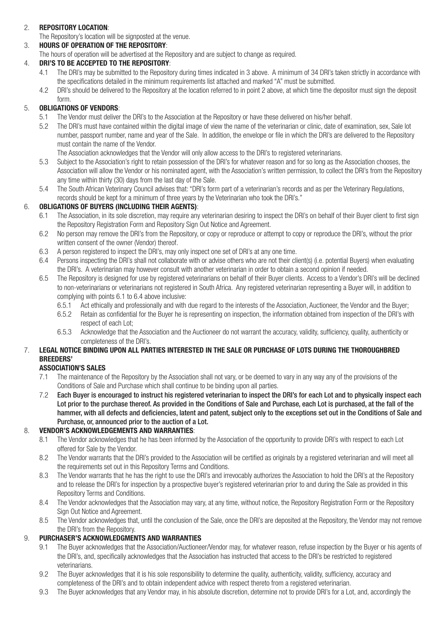# 2. **REPOSITORY LOCATION**:

The Repository's location will be signposted at the venue.

3. **HOURS OF OPERATION OF THE REPOSITORY**:

The hours of operation will be advertised at the Repository and are subject to change as required.

## 4. **DRI'S TO BE ACCEPTED TO THE REPOSITORY**:

- 4.1 The DRI's may be submitted to the Repository during times indicated in 3 above. A minimum of 34 DRI's taken strictly in accordance with the specifications detailed in the minimum requirements list attached and marked "A" must be submitted.<br>4.2 DBI's should be delivered to the Benository at the location referred to in point 2 above, at which time the
- DRI's should be delivered to the Repository at the location referred to in point 2 above, at which time the depositor must sign the deposit form.

# 5. **OBLIGATIONS OF VENDORS**:

- 5.1 The Vendor must deliver the DRI's to the Association at the Repository or have these delivered on his/her behalf.
- 5.2 The DRI's must have contained within the digital image of view the name of the veterinarian or clinic, date of examination, sex, Sale lot number, passport number, name and year of the Sale. In addition, the envelope or file in which the DRI's are delivered to the Repository must contain the name of the Vendor.

The Association acknowledges that the Vendor will only allow access to the DRI's to registered veterinarians.

- 5.3 Subject to the Association's right to retain possession of the DRI's for whatever reason and for so long as the Association chooses, the Association will allow the Vendor or his nominated agent, with the Association's written permission, to collect the DRI's from the Repository any time within thirty (30) days from the last day of the Sale.<br>5.4 The South African Veterinary Council advises that: "DBI's forn
- 5.4 The South African Veterinary Council advises that: "DRI's form part of a veterinarian's records and as per the Veterinary Regulations, records should be kept for a minimum of three years by the Veterinarian who took the DRI's."

### 6. **OBLIGATIONS OF BUYERS (INCLUDING THEIR AGENTS)**:

- 6.1 The Association, in its sole discretion, may require any veterinarian desiring to inspect the DRI's on behalf of their Buyer client to first sign the Repository Registration Form and Repository Sign Out Notice and Agreement.
- 6.2 No person may remove the DRI's from the Repository, or copy or reproduce or attempt to copy or reproduce the DRI's, without the prior written consent of the owner (Vendor) thereof.
- 6.3 A person registered to inspect the DRI's, may only inspect one set of DRI's at any one time.
- 6.4 Persons inspecting the DRI's shall not collaborate with or advise others who are not their client(s) (i.e. potential Buyers) when evaluating the DRI's. A veterinarian may however consult with another veterinarian in order to obtain a second opinion if needed.
- 6.5 The Repository is designed for use by registered veterinarians on behalf of their Buyer clients. Access to a Vendor's DRI's will be declined to non-veterinarians or veterinarians not registered in South Africa. Any registered veterinarian representing a Buyer will, in addition to complying with points 6.1 to 6.4 above inclusive:
	- 6.5.1 Act ethically and professionally and with due regard to the interests of the Association, Auctioneer, the Vendor and the Buyer;
	- 6.5.2 Retain as confidential for the Buyer he is representing on inspection, the information obtained from inspection of the DRI's with respect of each Lot;
	- 6.5.3 Acknowledge that the Association and the Auctioneer do not warrant the accuracy, validity, sufficiency, quality, authenticity or completeness of the DRI's.

# 7. **LEGAL NOTICE BINDING UPON ALL PARTIES INTERESTED IN THE SALE OR PURCHASE OF LOTS DURING THE THOROUGHBRED BREEDERS'**

### **ASSOCIATION'S SALES**

- 7.1 The maintenance of the Repository by the Association shall not vary, or be deemed to vary in any way any of the provisions of the Conditions of Sale and Purchase which shall continue to be binding upon all parties.
- 7.2 Each Buyer is encouraged to instruct his registered veterinarian to inspect the DRI's for each Lot and to physically inspect each Lot prior to the purchase thereof. As provided in the Conditions of Sale and Purchase, each Lot is purchased, at the fall of the hammer, with all defects and deficiencies, latent and patent, subject only to the exceptions set out in the Conditions of Sale and Purchase, or, announced prior to the auction of a Lot.

## 8. **VENDOR'S ACKNOWLEDGEMENTS AND WARRANTIES**:

- 8.1 The Vendor acknowledges that he has been informed by the Association of the opportunity to provide DRI's with respect to each Lot offered for Sale by the Vendor.<br>8.2 The Vendor warrants that the D
- The Vendor warrants that the DRI's provided to the Association will be certified as originals by a registered veterinarian and will meet all the requirements set out in this Repository Terms and Conditions.
- 8.3 The Vendor warrants that he has the right to use the DRI's and irrevocably authorizes the Association to hold the DRI's at the Repository and to release the DRI's for inspection by a prospective buyer's registered veterinarian prior to and during the Sale as provided in this Repository Terms and Conditions.
- 8.4 The Vendor acknowledges that the Association may vary, at any time, without notice, the Repository Registration Form or the Repository Sign Out Notice and Agreement.
- 8.5 The Vendor acknowledges that, until the conclusion of the Sale, once the DRI's are deposited at the Repository, the Vendor may not remove the DRI's from the Repository.

### 9. **PURCHASER'S ACKNOWLEDGMENTS AND WARRANTIES**

- 9.1 The Buyer acknowledges that the Association/Auctioneer/Vendor may, for whatever reason, refuse inspection by the Buyer or his agents of the DRI's, and, specifically acknowledges that the Association has instructed that access to the DRI's be restricted to registered veterinarians.
- 9.2 The Buyer acknowledges that it is his sole responsibility to determine the quality, authenticity, validity, sufficiency, accuracy and completeness of the DRI's and to obtain independent advice with respect thereto from a registered veterinarian.
- 9.3 The Buyer acknowledges that any Vendor may, in his absolute discretion, determine not to provide DRI's for a Lot, and, accordingly the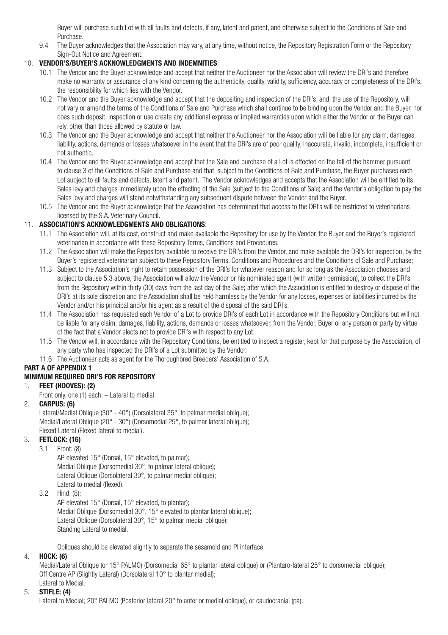Buyer will purchase such Lot with all faults and defects, if any, latent and patent, and otherwise subject to the Conditions of Sale and

Purchase.<br>9.4 The Buyer 9.4 The Buyer acknowledges that the Association may vary, at any time, without notice, the Repository Registration Form or the Repository Sign-Out Notice and Agreement.

## 10. **VENDOR'S/BUYER'S ACKNOWLEDGMENTS AND INDEMNITIES**:

- 10.1 The Vendor and the Buyer acknowledge and accept that neither the Auctioneer nor the Association will review the DRI's and therefore make no warranty or assurance of any kind concerning the authenticity, quality, validity, sufficiency, accuracy or completeness of the DRI's, the responsibility for which lies with the Vendor.
- 10.2 The Vendor and the Buyer acknowledge and accept that the depositing and inspection of the DRI's, and, the use of the Repository, will not vary or amend the terms of the Conditions of Sale and Purchase which shall continue to be binding upon the Vendor and the Buyer, nor does such deposit, inspection or use create any additional express or implied warranties upon which either the Vendor or the Buyer can rely, other than those allowed by statute or law.
- 10.3 The Vendor and the Buyer acknowledge and accept that neither the Auctioneer nor the Association will be liable for any claim, damages, liability actions, demands or losses whatsoever in the event that the DRI's are of poor quality, inaccurate, invalid, incomplete, insufficient or not authentic.
- 10.4 The Vendor and the Buyer acknowledge and accept that the Sale and purchase of a Lot is effected on the fall of the hammer pursuant to clause 3 of the Conditions of Sale and Purchase and that, subject to the Conditions of Sale and Purchase, the Buyer purchases each Lot subject to all faults and defects, latent and patent. The Vendor acknowledges and accepts that the Association will be entitled to its Sales levy and charges immediately upon the effecting of the Sale (subject to the Conditions of Sale) and the Vendor's obligation to pay the Sales levy and charges will stand notwithstanding any subsequent dispute between the Vendor and the Buyer.
- 10.5 The Vendor and the Buyer acknowledge that the Association has determined that access to the DRI's will be restricted to veterinarians licensed by the S.A. Veterinary Council.

## 11. **ASSOCIATION'S ACKNOWLEDGMENTS AND OBLIGATIONS**:

- 11.1 The Association will, at its cost, construct and make available the Repository for use by the Vendor, the Buyer and the Buyer's registered veterinarian in accordance with these Repository Terms, Conditions and Procedures.
- 11.2 The Association will make the Repository available to receive the DRI's from the Vendor, and make available the DRI's for inspection, by the Buyer's registered veterinarian subject to these Repository Terms, Conditions and Procedures and the Conditions of Sale and Purchase;
- 11.3 Subject to the Association's right to retain possession of the DRI's for whatever reason and for so long as the Association chooses and subject to clause 5.3 above, the Association will allow the Vendor or his nominated agent (with written permission), to collect the DRI's from the Repository within thirty (30) days from the last day of the Sale; after which the Association is entitled to destroy or dispose of the DRI's at its sole discretion and the Association shall be held harmless by the Vendor for any losses, expenses or liabilities incurred by the Vendor and/or his principal and/or his agent as a result of the disposal of the said DRI's.
- 11.4 The Association has requested each Vendor of a Lot to provide DRI's of each Lot in accordance with the Repository Conditions but will not be liable for any claim, damages, liability, actions, demands or losses whatsoever, from the Vendor, Buyer or any person or party by virtue of the fact that a Vendor elects not to provide DRI's with respect to any Lot.
- 11.5 The Vendor will, in accordance with the Repository Conditions, be entitled to inspect a register, kept for that purpose by the Association, of any party who has inspected the DRI's of a Lot submitted by the Vendor.
- 11.6 The Auctioneer acts as agent for the Thoroughbred Breeders' Association of S.A.

# **PART A OF APPENDIX 1**

# **MINIMUM REQUIRED DRI'S FOR REPOSITORY**

### 1. **FEET (HOOVES): (2)**

Front only, one (1) each. – Lateral to medial

## 2. **CARPUS: (6)**

Lateral/Medial Oblique (30° - 40°) (Dorsolateral 35°, to palmar medial oblique); Medial/Lateral Oblique (20° - 30°) (Dorsomedial 25°, to palmar lateral oblique); Flexed Lateral (Flexed lateral to medial).

# 3. **FETLOCK: (16)**

3.1 Front: (8)

 AP elevated 15° (Dorsal, 15° elevated, to palmar); Medial Oblique (Dorsomedial 30°, to palmar lateral oblique); Lateral Oblique (Dorsolateral 30°, to palmar medial oblique); Lateral to medial (flexed).

3.2 Hind: (8):

 AP elevated 15° (Dorsal, 15° elevated, to plantar); Medial Oblique (Dorsomedial 30°, 15° elevated to plantar lateral oblique); Lateral Oblique (Dorsolateral 30°, 15° to palmar medial oblique); Standing Lateral to medial.

Obliques should be elevated slightly to separate the sesamoid and PI interface.

## 4. **HOCK: (6)**

Medial/Lateral Oblique (or 15° PALMO) (Dorsomedial 65° to plantar lateral oblique) or (Plantaro-lateral 25° to dorsomedial oblique); Off Centre AP (Slightly Lateral) (Dorsolateral 10° to plantar medial); Lateral to Medial.

# 5. **STIFLE: (4)**

Lateral to Medial; 20° PALMO (Posterior lateral 20° to anterior medial oblique), or caudocranial (pa).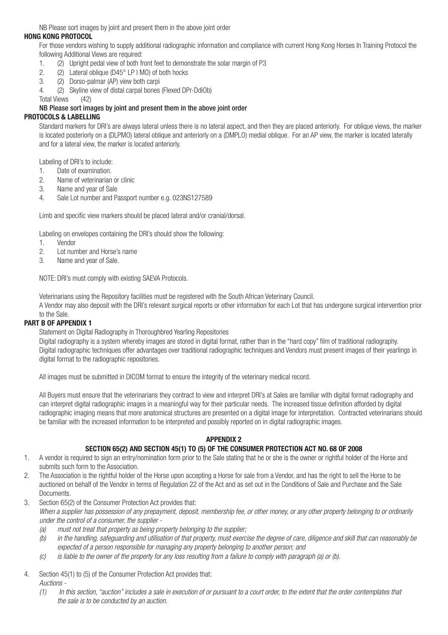NB Please sort images by joint and present them in the above joint order

#### **HONG KONG PROTOCOL**

For those vendors wishing to supply additional radiographic information and compliance with current Hong Kong Horses In Training Protocol the following Additional Views are required:

- 1. (2) Upright pedal view of both front feet to demonstrate the solar margin of P3<br>2 (2) Lateral oblique (D45° LP LMO) of both bocks
- 2. (2) Lateral oblique ( $D45^\circ$  LP I MO) of both hocks<br>  $(2)$  Optso-palmar (AP) view both carni
- 3. (2) Dorso-palmar (AP) view both carpi
- 4. (2) Skyline view of distal carpal bones (Flexed DPr-DdiOb)

Total Views (42)

#### NB Please sort images by joint and present them in the above joint order

## **PROTOCOLS & LABELLING**

Standard markers for DRI's are always lateral unless there is no lateral aspect, and then they are placed anteriorly. For oblique views, the marker is located posteriorly on a (DLPMO) lateral oblique and anteriorly on a (DMPLO) medial oblique. For an AP view, the marker is located laterally and for a lateral view, the marker is located anteriorly.

Labeling of DRI's to include:

- 1. Date of examination.<br>2. Name of veterinarian
- 2. Name of veterinarian or clinic<br>3. Name and vear of Sale
- Name and year of Sale
- 4. Sale Lot number and Passport number e.g. 023NS127589

Limb and specific view markers should be placed lateral and/or cranial/dorsal.

Labeling on envelopes containing the DRI's should show the following:

- 1. Vendor
- 2. Lot number and Horse's name<br>3. Name and year of Sale
- Name and year of Sale.

NOTE: DRI's must comply with existing SAEVA Protocols.

Veterinarians using the Repository facilities must be registered with the South African Veterinary Council.

A Vendor may also deposit with the DRI's relevant surgical reports or other information for each Lot that has undergone surgical intervention prior to the Sale.

# **PART B OF APPENDIX 1**

Statement on Digital Radiography in Thoroughbred Yearling Repositories

Digital radiography is a system whereby images are stored in digital format, rather than in the "hard copy" film of traditional radiography. Digital radiographic techniques offer advantages over traditional radiographic techniques and Vendors must present images of their yearlings in digital format to the radiographic repositories.

All images must be submitted in DICOM format to ensure the integrity of the veterinary medical record.

All Buyers must ensure that the veterinarians they contract to view and interpret DRI's at Sales are familiar with digital format radiography and can interpret digital radiographic images in a meaningful way for their particular needs. The increased tissue definition afforded by digital radiographic imaging means that more anatomical structures are presented on a digital image for interpretation. Contracted veterinarians should be familiar with the increased information to be interpreted and possibly reported on in digital radiographic images.

### **APPENDIX 2**

### **SECTION 65(2) AND SECTION 45(1) TO (5) OF THE CONSUMER PROTECTION ACT NO. 68 OF 2008**

- 1. A vendor is required to sign an entry/nomination form prior to the Sale stating that he or she is the owner or rightful holder of the Horse and submits such form to the Association.
- 2. The Association is the rightful holder of the Horse upon accepting a Horse for sale from a Vendor, and has the right to sell the Horse to be auctioned on behalf of the Vendor in terms of Regulation 22 of the Act and as set out in the Conditions of Sale and Purchase and the Sale **Documents**
- 3. Section 65(2) of the Consumer Protection Act provides that:
	- *When a supplier has possession of any prepayment, deposit, membership fee, or other money, or any other property belonging to or ordinarily under the control of a consumer, the supplier -*
		- *(a) must not treat that property as being property belonging to the supplier;*
		- *(b) in the handling, safeguarding and utilisation of that property, must exercise the degree of care, diligence and skill that can reasonably be expected of a person responsible for managing any property belonging to another person; and*
		- *(c) is liable to the owner of the property for any loss resulting from a failure to comply with paragraph (a) or (b).*
- 4. Section 45(1) to (5) of the Consumer Protection Act provides that:
	- *Auctions -*
	- *(1) In this section, "auction" includes a sale in execution of or pursuant to a court order, to the extent that the order contemplates that the sale is to be conducted by an auction.*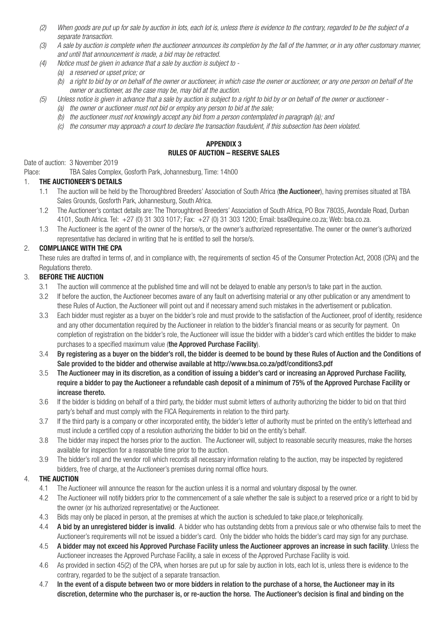- *(2) When goods are put up for sale by auction in lots, each lot is, unless there is evidence to the contrary, regarded to be the subject of a separate transaction.*
- *(3) A sale by auction is complete when the auctioneer announces its completion by the fall of the hammer, or in any other customary manner, and until that announcement is made, a bid may be retracted.*
	- *(4) Notice must be given in advance that a sale by auction is subject to -*
		- *(a) a reserved or upset price; or*
		- *(b) a right to bid by or on behalf of the owner or auctioneer, in which case the owner or auctioneer, or any one person on behalf of the owner or auctioneer, as the case may be, may bid at the auction.*
- *(5) Unless notice is given in advance that a sale by auction is subject to a right to bid by or on behalf of the owner or auctioneer -*
	- *(a) the owner or auctioneer must not bid or employ any person to bid at the sale;*
	- *(b) the auctioneer must not knowingly accept any bid from a person contemplated in paragraph (a); and*
	- *(c) the consumer may approach a court to declare the transaction fraudulent, if this subsection has been violated.*

## **APPENDIX 3 RULES OF AUCTION – RESERVE SALES**

# Date of auction: 3 November 2019

Place: TBA Sales Complex, Gosforth Park, Johannesburg, Time: 14h00

#### 1. **THE AUCTIONEER'S DETAILS**

- 1.1 The auction will be held by the Thoroughbred Breeders' Association of South Africa (the Auctioneer), having premises situated at TBA Sales Grounds, Gosforth Park, Johannesburg, South Africa.
- 1.2 The Auctioneer's contact details are: The Thoroughbred Breeders' Association of South Africa, PO Box 78035, Avondale Road, Durban 4101, South Africa. Tel: +27 (0) 31 303 1017; Fax: +27 (0) 31 303 1200; Email: bsa@equine.co.za; Web: bsa.co.za.
- 1.3 The Auctioneer is the agent of the owner of the horse/s, or the owner's authorized representative. The owner or the owner's authorized representative has declared in writing that he is entitled to sell the horse/s.

## 2. **COMPLIANCE WITH THE CPA**

These rules are drafted in terms of, and in compliance with, the requirements of section 45 of the Consumer Protection Act, 2008 (CPA) and the Regulations thereto.

### 3. **BEFORE THE AUCTION**

- 3.1 The auction will commence at the published time and will not be delayed to enable any person/s to take part in the auction.
- 3.2 If before the auction, the Auctioneer becomes aware of any fault on advertising material or any other publication or any amendment to these Rules of Auction, the Auctioneer will point out and if necessary amend such mistakes in the advertisement or publication.
- 3.3 Each bidder must register as a buyer on the bidder's role and must provide to the satisfaction of the Auctioneer, proof of identity, residence and any other documentation required by the Auctioneer in relation to the bidder's financial means or as security for payment. On completion of registration on the bidder's role, the Auctioneer will issue the bidder with a bidder's card which entitles the bidder to make purchases to a specified maximum value (the Approved Purchase Facility).
- 3.4 By registering as a buyer on the bidder's roll, the bidder is deemed to be bound by these Rules of Auction and the Conditions of Sale provided to the bidder and otherwise available at http://www.bsa.co.za/pdf/conditions3.pdf
- 3.5 The Auctioneer may in its discretion, as a condition of issuing a bidder's card or increasing an Approved Purchase Facility, require a bidder to pay the Auctioneer a refundable cash deposit of a minimum of 75% of the Approved Purchase Facility or increase thereto.
- 3.6 If the bidder is bidding on behalf of a third party, the bidder must submit letters of authority authorizing the bidder to bid on that third party's behalf and must comply with the FICA Requirements in relation to the third party.
- 3.7 If the third party is a company or other incorporated entity, the bidder's letter of authority must be printed on the entity's letterhead and must include a certified copy of a resolution authorizing the bidder to bid on the entity's behalf.
- 3.8 The bidder may inspect the horses prior to the auction. The Auctioneer will, subject to reasonable security measures, make the horses available for inspection for a reasonable time prior to the auction.
- 3.9 The bidder's roll and the vendor roll which records all necessary information relating to the auction, may be inspected by registered bidders, free of charge, at the Auctioneer's premises during normal office hours.

## 4. **THE AUCTION**

- 4.1 The Auctioneer will announce the reason for the auction unless it is a normal and voluntary disposal by the owner.
- 4.2 The Auctioneer will notify bidders prior to the commencement of a sale whether the sale is subject to a reserved price or a right to bid by the owner (or his authorized representative) or the Auctioneer.
- 4.3 Bids may only be placed in person, at the premises at which the auction is scheduled to take place,or telephonically.
- 4.4 A bid by an unregistered bidder is invalid. A bidder who has outstanding debts from a previous sale or who otherwise fails to meet the Auctioneer's requirements will not be issued a bidder's card. Only the bidder who holds the bidder's card may sign for any purchase.
- 4.5 A bidder may not exceed his Approved Purchase Facility unless the Auctioneer approves an increase in such facility. Unless the Auctioneer increases the Approved Purchase Facility, a sale in excess of the Approved Purchase Facility is void.
- 4.6 As provided in section 45(2) of the CPA, when horses are put up for sale by auction in lots, each lot is, unless there is evidence to the contrary, regarded to be the subject of a separate transaction.
- 4.7 In the event of a dispute between two or more bidders in relation to the purchase of a horse, the Auctioneer may in its discretion, determine who the purchaser is, or re-auction the horse. The Auctioneer's decision is final and binding on the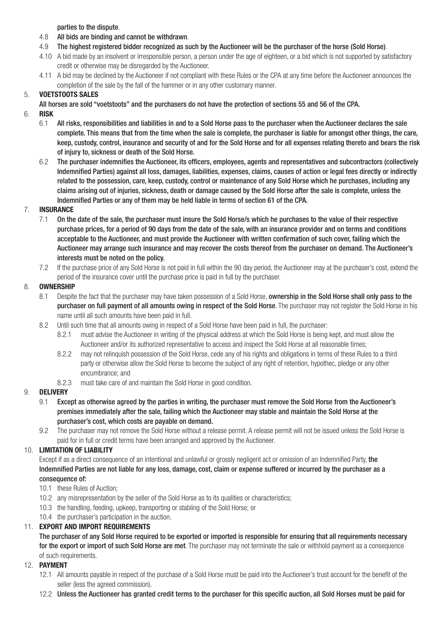parties to the dispute.

- 4.8 All bids are binding and cannot be withdrawn.
- 4.9 The highest registered bidder recognized as such by the Auctioneer will be the purchaser of the horse (Sold Horse).
- 4.10 A bid made by an insolvent or irresponsible person, a person under the age of eighteen, or a bid which is not supported by satisfactory credit or otherwise may be disregarded by the Auctioneer.
- 4.11 A bid may be declined by the Auctioneer if not compliant with these Rules or the CPA at any time before the Auctioneer announces the completion of the sale by the fall of the hammer or in any other customary manner.

## 5. **VOETSTOOTS SALES**

All horses are sold "voetstoots" and the purchasers do not have the protection of sections 55 and 56 of the CPA.

# 6. **RISK**

- 6.1 All risks, responsibilities and liabilities in and to a Sold Horse pass to the purchaser when the Auctioneer declares the sale complete. This means that from the time when the sale is complete, the purchaser is liable for amongst other things, the care, keep, custody, control, insurance and security of and for the Sold Horse and for all expenses relating thereto and bears the risk of injury to, sickness or death of the Sold Horse.
- 6.2 The purchaser indemnifies the Auctioneer, its officers, employees, agents and representatives and subcontractors (collectively Indemnified Parties) against all loss, damages, liabilities, expenses, claims, causes of action or legal fees directly or indirectly related to the possession, care, keep, custody, control or maintenance of any Sold Horse which he purchases, including any claims arising out of injuries, sickness, death or damage caused by the Sold Horse after the sale is complete, unless the Indemnified Parties or any of them may be held liable in terms of section 61 of the CPA.

### 7. **INSURANCE**

- 7.1 On the date of the sale, the purchaser must insure the Sold Horse/s which he purchases to the value of their respective purchase prices, for a period of 90 days from the date of the sale, with an insurance provider and on terms and conditions acceptable to the Auctioneer, and must provide the Auctioneer with written confirmation of such cover, failing which the Auctioneer may arrange such insurance and may recover the costs thereof from the purchaser on demand. The Auctioneer's interests must be noted on the policy.
- 7.2 If the purchase price of any Sold Horse is not paid in full within the 90 day period, the Auctioneer may at the purchaser's cost, extend the period of the insurance cover until the purchase price is paid in full by the purchaser.

## 8. **OWNERSHIP**

- 8.1 Despite the fact that the purchaser may have taken possession of a Sold Horse, ownership in the Sold Horse shall only pass to the purchaser on full payment of all amounts owing in respect of the Sold Horse. The purchaser may not register the Sold Horse in his name until all such amounts have been paid in full.
- 8.2 Until such time that all amounts owing in respect of a Sold Horse have been paid in full, the purchaser:
	- 8.2.1 must advise the Auctioneer in writing of the physical address at which the Sold Horse is being kept, and must allow the Auctioneer and/or its authorized representative to access and inspect the Sold Horse at all reasonable times;
	- 8.2.2 may not relinquish possession of the Sold Horse, cede any of his rights and obligations in terms of these Rules to a third party or otherwise allow the Sold Horse to become the subject of any right of retention, hypothec, pledge or any other encumbrance; and
	- 8.2.3 must take care of and maintain the Sold Horse in good condition.

### 9. **DELIVERY**

- 9.1 Except as otherwise agreed by the parties in writing, the purchaser must remove the Sold Horse from the Auctioneer's premises immediately after the sale, failing which the Auctioneer may stable and maintain the Sold Horse at the purchaser's cost, which costs are payable on demand.
- 9.2 The purchaser may not remove the Sold Horse without a release permit. A release permit will not be issued unless the Sold Horse is paid for in full or credit terms have been arranged and approved by the Auctioneer.

### 10. **LIMITATION OF LIABILITY**

Except if as a direct consequence of an intentional and unlawful or grossly negligent act or omission of an Indemnified Party, the Indemnified Parties are not liable for any loss, damage, cost, claim or expense suffered or incurred by the purchaser as a consequence of:

- 10.1 these Rules of Auction;
- 10.2 any misrepresentation by the seller of the Sold Horse as to its qualities or characteristics;
- 10.3 the handling, feeding, upkeep, transporting or stabling of the Sold Horse; or
- 10.4 the purchaser's participation in the auction.

## 11. **EXPORT AND IMPORT REQUIREMENTS**

The purchaser of any Sold Horse required to be exported or imported is responsible for ensuring that all requirements necessary for the export or import of such Sold Horse are met. The purchaser may not terminate the sale or withhold payment as a consequence of such requirements.

### 12. **PAYMENT**

- 12.1 All amounts payable in respect of the purchase of a Sold Horse must be paid into the Auctioneer's trust account for the benefit of the seller (less the agreed commission).
- 12.2 Unless the Auctioneer has granted credit terms to the purchaser for this specific auction, all Sold Horses must be paid for